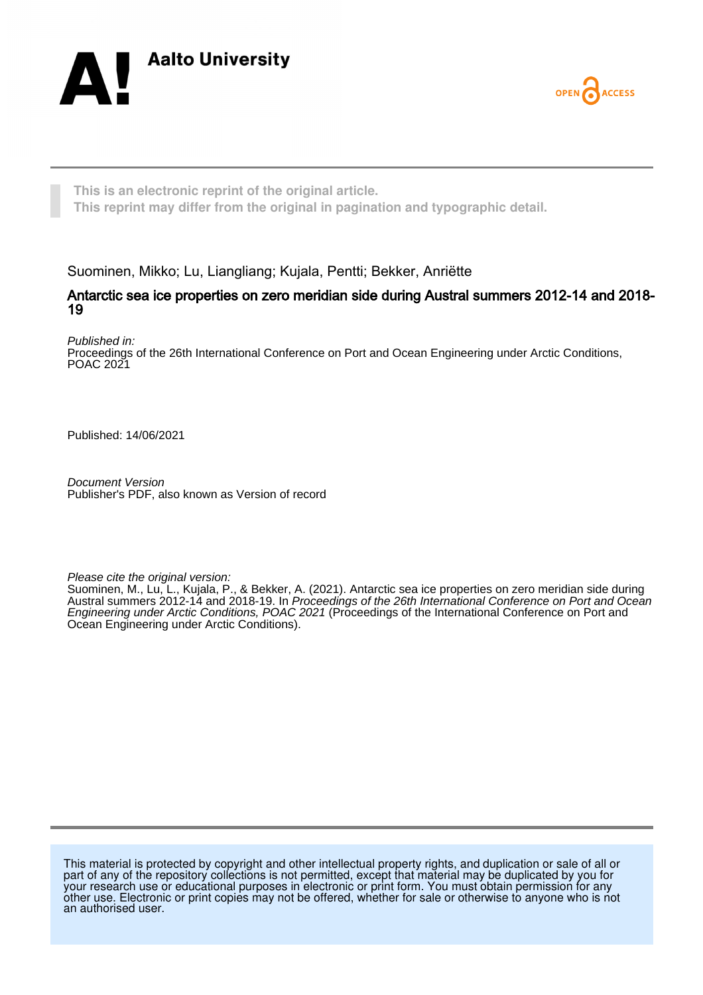



**This is an electronic reprint of the original article. This reprint may differ from the original in pagination and typographic detail.**

Suominen, Mikko; Lu, Liangliang; Kujala, Pentti; Bekker, Anriëtte

#### Antarctic sea ice properties on zero meridian side during Austral summers 2012-14 and 2018- 19

Published in:

Proceedings of the 26th International Conference on Port and Ocean Engineering under Arctic Conditions, POAC 2021

Published: 14/06/2021

Document Version Publisher's PDF, also known as Version of record

Please cite the original version:

Suominen, M., Lu, L., Kujala, P., & Bekker, A. (2021). Antarctic sea ice properties on zero meridian side during Austral summers 2012-14 and 2018-19. In Proceedings of the 26th International Conference on Port and Ocean Engineering under Arctic Conditions, POAC 2021 (Proceedings of the International Conference on Port and Ocean Engineering under Arctic Conditions).

This material is protected by copyright and other intellectual property rights, and duplication or sale of all or part of any of the repository collections is not permitted, except that material may be duplicated by you for your research use or educational purposes in electronic or print form. You must obtain permission for any other use. Electronic or print copies may not be offered, whether for sale or otherwise to anyone who is not an authorised user.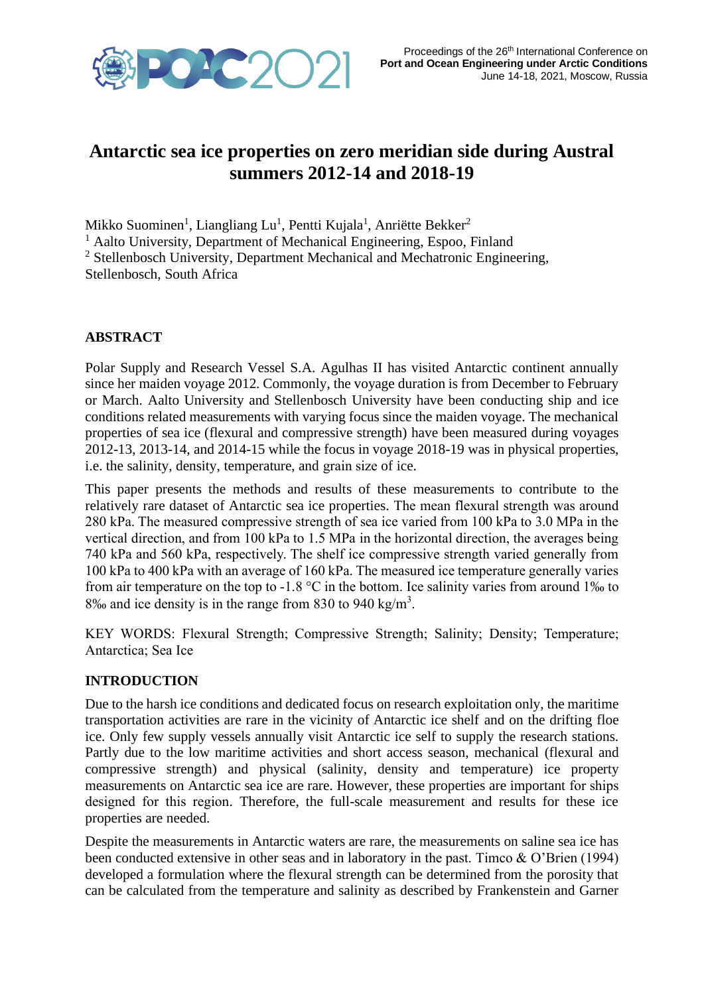

# **Antarctic sea ice properties on zero meridian side during Austral summers 2012-14 and 2018-19**

Mikko Suominen<sup>1</sup>, Liangliang Lu<sup>1</sup>, Pentti Kujala<sup>1</sup>, Anriëtte Bekker<sup>2</sup>

<sup>1</sup> Aalto University, Department of Mechanical Engineering, Espoo, Finland

<sup>2</sup> Stellenbosch University, Department Mechanical and Mechatronic Engineering,

Stellenbosch, South Africa

## **ABSTRACT**

Polar Supply and Research Vessel S.A. Agulhas II has visited Antarctic continent annually since her maiden voyage 2012. Commonly, the voyage duration is from December to February or March. Aalto University and Stellenbosch University have been conducting ship and ice conditions related measurements with varying focus since the maiden voyage. The mechanical properties of sea ice (flexural and compressive strength) have been measured during voyages 2012-13, 2013-14, and 2014-15 while the focus in voyage 2018-19 was in physical properties, i.e. the salinity, density, temperature, and grain size of ice.

This paper presents the methods and results of these measurements to contribute to the relatively rare dataset of Antarctic sea ice properties. The mean flexural strength was around 280 kPa. The measured compressive strength of sea ice varied from 100 kPa to 3.0 MPa in the vertical direction, and from 100 kPa to 1.5 MPa in the horizontal direction, the averages being 740 kPa and 560 kPa, respectively. The shelf ice compressive strength varied generally from 100 kPa to 400 kPa with an average of 160 kPa. The measured ice temperature generally varies from air temperature on the top to -1.8  $\degree$ C in the bottom. Ice salinity varies from around 1% to 8‰ and ice density is in the range from 830 to 940 kg/m<sup>3</sup>.

KEY WORDS: Flexural Strength; Compressive Strength; Salinity; Density; Temperature; Antarctica; Sea Ice

#### **INTRODUCTION**

Due to the harsh ice conditions and dedicated focus on research exploitation only, the maritime transportation activities are rare in the vicinity of Antarctic ice shelf and on the drifting floe ice. Only few supply vessels annually visit Antarctic ice self to supply the research stations. Partly due to the low maritime activities and short access season, mechanical (flexural and compressive strength) and physical (salinity, density and temperature) ice property measurements on Antarctic sea ice are rare. However, these properties are important for ships designed for this region. Therefore, the full-scale measurement and results for these ice properties are needed.

Despite the measurements in Antarctic waters are rare, the measurements on saline sea ice has been conducted extensive in other seas and in laboratory in the past. Timco & O'Brien (1994) developed a formulation where the flexural strength can be determined from the porosity that can be calculated from the temperature and salinity as described by Frankenstein and Garner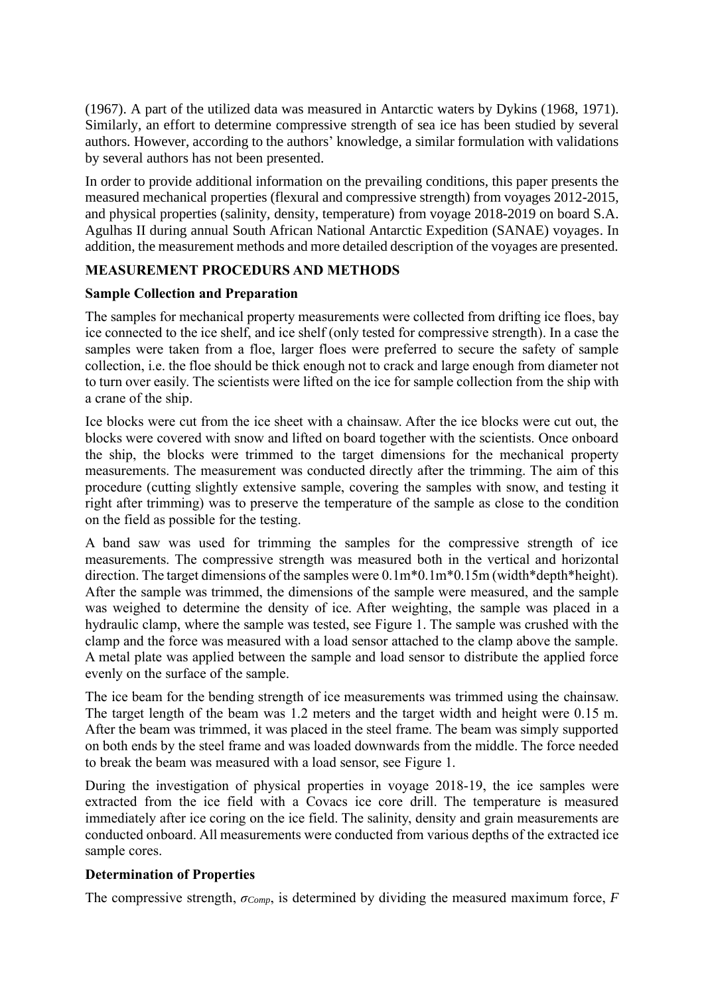(1967). A part of the utilized data was measured in Antarctic waters by Dykins (1968, 1971). Similarly, an effort to determine compressive strength of sea ice has been studied by several authors. However, according to the authors' knowledge, a similar formulation with validations by several authors has not been presented.

In order to provide additional information on the prevailing conditions, this paper presents the measured mechanical properties (flexural and compressive strength) from voyages 2012-2015, and physical properties (salinity, density, temperature) from voyage 2018-2019 on board S.A. Agulhas II during annual South African National Antarctic Expedition (SANAE) voyages. In addition, the measurement methods and more detailed description of the voyages are presented.

# **MEASUREMENT PROCEDURS AND METHODS**

## **Sample Collection and Preparation**

The samples for mechanical property measurements were collected from drifting ice floes, bay ice connected to the ice shelf, and ice shelf (only tested for compressive strength). In a case the samples were taken from a floe, larger floes were preferred to secure the safety of sample collection, i.e. the floe should be thick enough not to crack and large enough from diameter not to turn over easily. The scientists were lifted on the ice for sample collection from the ship with a crane of the ship.

Ice blocks were cut from the ice sheet with a chainsaw. After the ice blocks were cut out, the blocks were covered with snow and lifted on board together with the scientists. Once onboard the ship, the blocks were trimmed to the target dimensions for the mechanical property measurements. The measurement was conducted directly after the trimming. The aim of this procedure (cutting slightly extensive sample, covering the samples with snow, and testing it right after trimming) was to preserve the temperature of the sample as close to the condition on the field as possible for the testing.

A band saw was used for trimming the samples for the compressive strength of ice measurements. The compressive strength was measured both in the vertical and horizontal direction. The target dimensions of the samples were  $0.1m*0.1m*0.15m$  (width\*depth\*height). After the sample was trimmed, the dimensions of the sample were measured, and the sample was weighed to determine the density of ice. After weighting, the sample was placed in a hydraulic clamp, where the sample was tested, see [Figure 1.](#page-3-0) The sample was crushed with the clamp and the force was measured with a load sensor attached to the clamp above the sample. A metal plate was applied between the sample and load sensor to distribute the applied force evenly on the surface of the sample.

The ice beam for the bending strength of ice measurements was trimmed using the chainsaw. The target length of the beam was 1.2 meters and the target width and height were 0.15 m. After the beam was trimmed, it was placed in the steel frame. The beam was simply supported on both ends by the steel frame and was loaded downwards from the middle. The force needed to break the beam was measured with a load sensor, see [Figure 1.](#page-3-0)

During the investigation of physical properties in voyage 2018-19, the ice samples were extracted from the ice field with a Covacs ice core drill. The temperature is measured immediately after ice coring on the ice field. The salinity, density and grain measurements are conducted onboard. All measurements were conducted from various depths of the extracted ice sample cores.

# **Determination of Properties**

The compressive strength, *σComp*, is determined by dividing the measured maximum force, *F*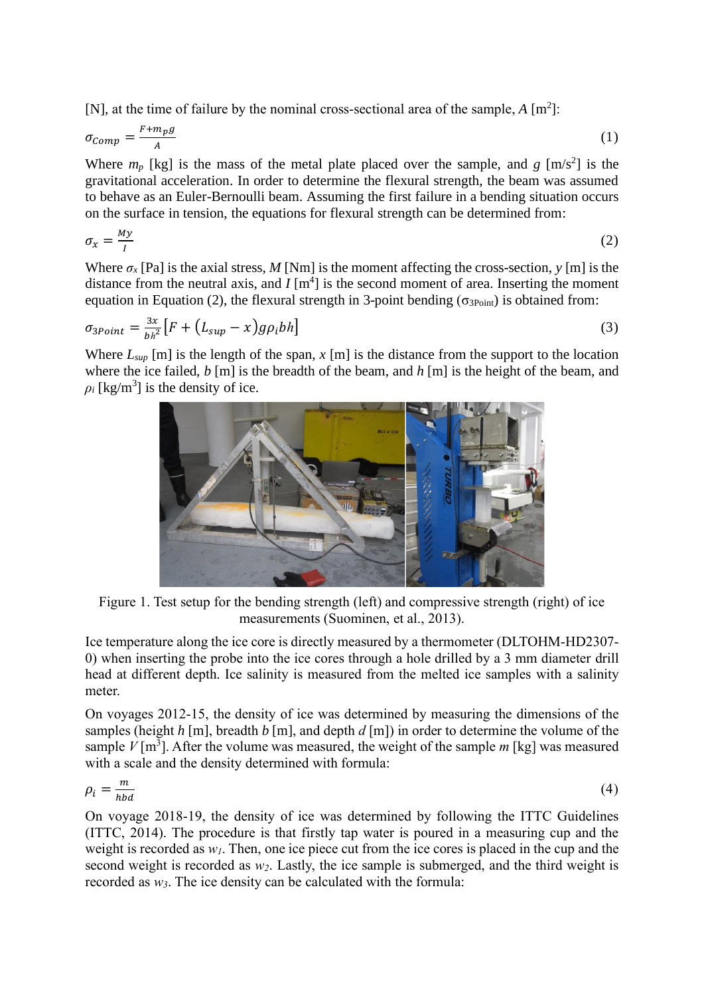[N], at the time of failure by the nominal cross-sectional area of the sample, *A* [m<sup>2</sup>]:

$$
\sigma_{Comp} = \frac{F + m_p g}{A} \tag{1}
$$

Where  $m_p$  [kg] is the mass of the metal plate placed over the sample, and  $g$  [m/s<sup>2</sup>] is the gravitational acceleration. In order to determine the flexural strength, the beam was assumed to behave as an Euler-Bernoulli beam. Assuming the first failure in a bending situation occurs on the surface in tension, the equations for flexural strength can be determined from:

$$
\sigma_x = \frac{My}{I} \tag{2}
$$

Where  $\sigma$ <sub>x</sub> [Pa] is the axial stress, *M* [Nm] is the moment affecting the cross-section, *y* [m] is the distance from the neutral axis, and  $I$   $[m<sup>4</sup>]$  is the second moment of area. Inserting the moment equation in Equation (2), the flexural strength in 3-point bending ( $\sigma_{3Point}$ ) is obtained from:

$$
\sigma_{3Point} = \frac{3x}{bh^2} \left[ F + \left( L_{sup} - x \right) g \rho_i bh \right] \tag{3}
$$

Where  $L_{\text{sup}}$  [m] is the length of the span,  $x$  [m] is the distance from the support to the location where the ice failed, *b* [m] is the breadth of the beam, and *h* [m] is the height of the beam, and  $\rho_i$  [kg/m<sup>3</sup>] is the density of ice.



Figure 1. Test setup for the bending strength (left) and compressive strength (right) of ice measurements (Suominen, et al., 2013).

<span id="page-3-0"></span>Ice temperature along the ice core is directly measured by a thermometer (DLTOHM-HD2307- 0) when inserting the probe into the ice cores through a hole drilled by a 3 mm diameter drill head at different depth. Ice salinity is measured from the melted ice samples with a salinity meter.

On voyages 2012-15, the density of ice was determined by measuring the dimensions of the samples (height *h* [m], breadth *b* [m], and depth *d* [m]) in order to determine the volume of the sample  $V$ [m<sup>3</sup>]. After the volume was measured, the weight of the sample  $m$  [kg] was measured with a scale and the density determined with formula:

$$
\rho_i = \frac{m}{hbd} \tag{4}
$$

On voyage 2018-19, the density of ice was determined by following the ITTC Guidelines (ITTC, 2014). The procedure is that firstly tap water is poured in a measuring cup and the weight is recorded as *w1*. Then, one ice piece cut from the ice cores is placed in the cup and the second weight is recorded as *w2*. Lastly, the ice sample is submerged, and the third weight is recorded as *w3*. The ice density can be calculated with the formula: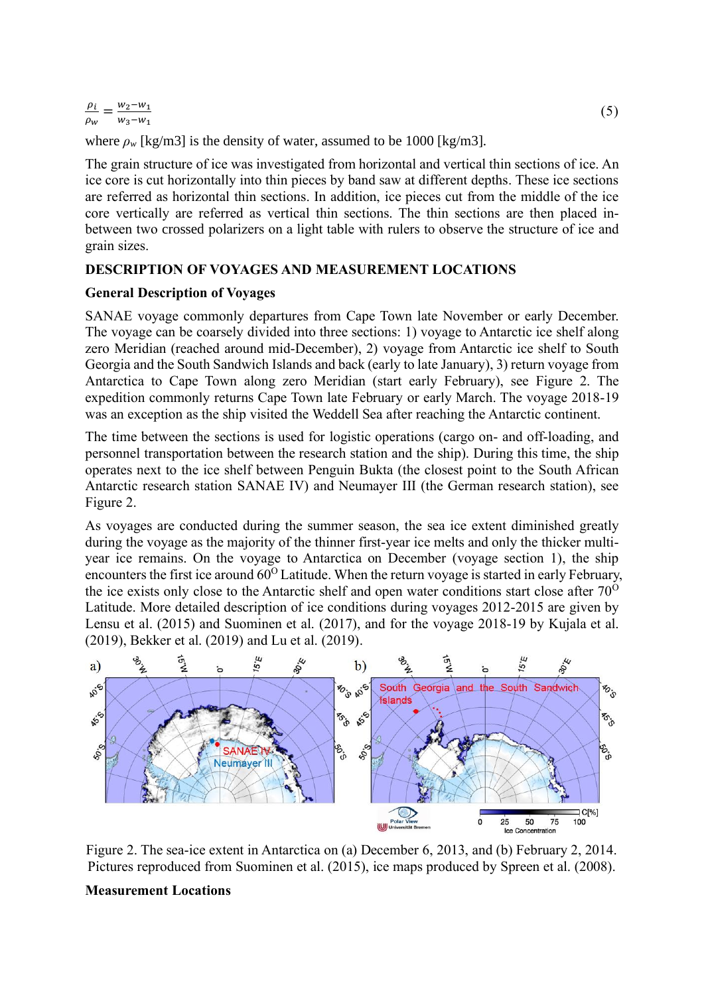$\frac{\rho_i}{\rho_i} = \frac{w_2 - w_1}{w_2 - w_2}$  $\rho_w$  $w_3-w_1$ 

where  $\rho_w$  [kg/m3] is the density of water, assumed to be 1000 [kg/m3].

The grain structure of ice was investigated from horizontal and vertical thin sections of ice. An ice core is cut horizontally into thin pieces by band saw at different depths. These ice sections are referred as horizontal thin sections. In addition, ice pieces cut from the middle of the ice core vertically are referred as vertical thin sections. The thin sections are then placed inbetween two crossed polarizers on a light table with rulers to observe the structure of ice and grain sizes.

## **DESCRIPTION OF VOYAGES AND MEASUREMENT LOCATIONS**

## **General Description of Voyages**

SANAE voyage commonly departures from Cape Town late November or early December. The voyage can be coarsely divided into three sections: 1) voyage to Antarctic ice shelf along zero Meridian (reached around mid-December), 2) voyage from Antarctic ice shelf to South Georgia and the South Sandwich Islands and back (early to late January), 3) return voyage from Antarctica to Cape Town along zero Meridian (start early February), see [Figure 2.](#page-4-0) The expedition commonly returns Cape Town late February or early March. The voyage 2018-19 was an exception as the ship visited the Weddell Sea after reaching the Antarctic continent.

The time between the sections is used for logistic operations (cargo on- and off-loading, and personnel transportation between the research station and the ship). During this time, the ship operates next to the ice shelf between Penguin Bukta (the closest point to the South African Antarctic research station SANAE IV) and Neumayer III (the German research station), see [Figure 2.](#page-4-0)

As voyages are conducted during the summer season, the sea ice extent diminished greatly during the voyage as the majority of the thinner first-year ice melts and only the thicker multiyear ice remains. On the voyage to Antarctica on December (voyage section 1), the ship encounters the first ice around  $60^{\circ}$  Latitude. When the return voyage is started in early February, the ice exists only close to the Antarctic shelf and open water conditions start close after  $70^{\circ}$ Latitude. More detailed description of ice conditions during voyages 2012-2015 are given by Lensu et al. (2015) and Suominen et al. (2017), and for the voyage 2018-19 by Kujala et al. (2019), Bekker et al. (2019) and Lu et al. (2019).



<span id="page-4-0"></span>Figure 2. The sea-ice extent in Antarctica on (a) December 6, 2013, and (b) February 2, 2014. Pictures reproduced from Suominen et al. (2015), ice maps produced by Spreen et al. (2008).

# **Measurement Locations**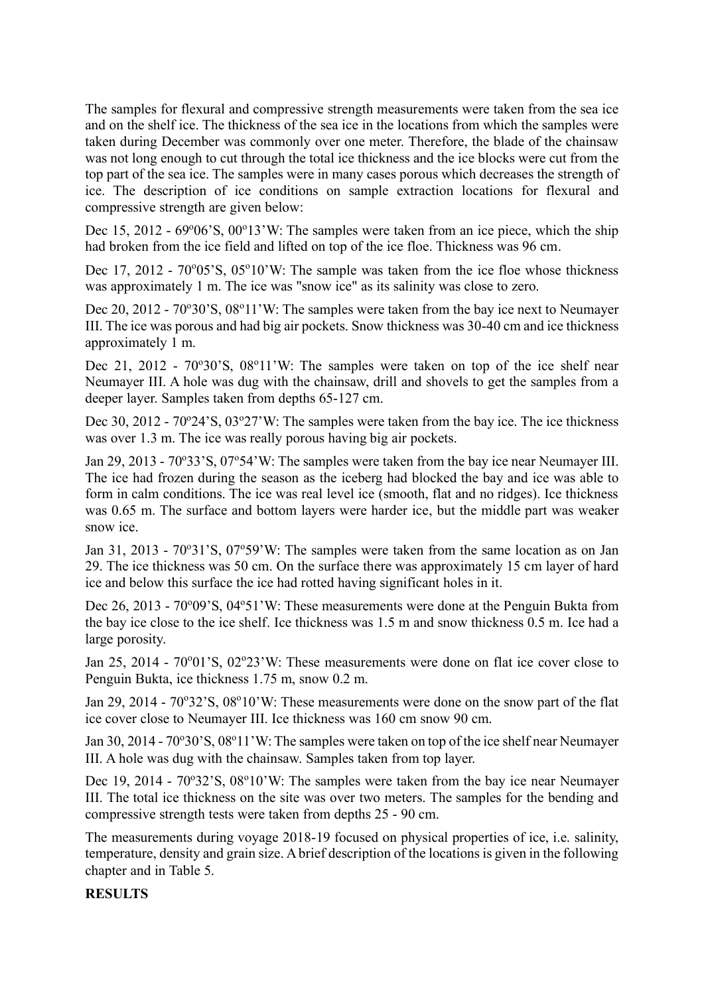The samples for flexural and compressive strength measurements were taken from the sea ice and on the shelf ice. The thickness of the sea ice in the locations from which the samples were taken during December was commonly over one meter. Therefore, the blade of the chainsaw was not long enough to cut through the total ice thickness and the ice blocks were cut from the top part of the sea ice. The samples were in many cases porous which decreases the strength of ice. The description of ice conditions on sample extraction locations for flexural and compressive strength are given below:

Dec 15, 2012 - 69°06'S, 00°13'W: The samples were taken from an ice piece, which the ship had broken from the ice field and lifted on top of the ice floe. Thickness was 96 cm.

Dec 17, 2012 - 70°05'S, 05°10'W: The sample was taken from the ice floe whose thickness was approximately 1 m. The ice was "snow ice" as its salinity was close to zero.

Dec 20, 2012 - 70°30'S, 08°11'W: The samples were taken from the bay ice next to Neumayer III. The ice was porous and had big air pockets. Snow thickness was 30-40 cm and ice thickness approximately 1 m.

Dec 21, 2012 - 70°30'S, 08°11'W: The samples were taken on top of the ice shelf near Neumayer III. A hole was dug with the chainsaw, drill and shovels to get the samples from a deeper layer. Samples taken from depths 65-127 cm.

Dec 30, 2012 - 70°24'S, 03°27'W: The samples were taken from the bay ice. The ice thickness was over 1.3 m. The ice was really porous having big air pockets.

Jan 29, 2013 - 70°33'S, 07°54'W: The samples were taken from the bay ice near Neumayer III. The ice had frozen during the season as the iceberg had blocked the bay and ice was able to form in calm conditions. The ice was real level ice (smooth, flat and no ridges). Ice thickness was 0.65 m. The surface and bottom layers were harder ice, but the middle part was weaker snow ice.

Jan 31, 2013 - 70°31'S, 07°59'W: The samples were taken from the same location as on Jan 29. The ice thickness was 50 cm. On the surface there was approximately 15 cm layer of hard ice and below this surface the ice had rotted having significant holes in it.

Dec 26, 2013 - 70°09'S, 04°51'W: These measurements were done at the Penguin Bukta from the bay ice close to the ice shelf. Ice thickness was 1.5 m and snow thickness 0.5 m. Ice had a large porosity.

Jan 25, 2014 - 70°01'S, 02°23'W: These measurements were done on flat ice cover close to Penguin Bukta, ice thickness 1.75 m, snow 0.2 m.

Jan 29, 2014 - 70°32'S, 08°10'W: These measurements were done on the snow part of the flat ice cover close to Neumayer III. Ice thickness was 160 cm snow 90 cm.

Jan 30, 2014 - 70°30'S, 08°11'W: The samples were taken on top of the ice shelf near Neumayer III. A hole was dug with the chainsaw. Samples taken from top layer.

Dec 19, 2014 - 70°32'S, 08°10'W: The samples were taken from the bay ice near Neumayer III. The total ice thickness on the site was over two meters. The samples for the bending and compressive strength tests were taken from depths 25 - 90 cm.

The measurements during voyage 2018-19 focused on physical properties of ice, i.e. salinity, temperature, density and grain size. A brief description of the locations is given in the following chapter and i[n Table 5.](#page-8-0)

# **RESULTS**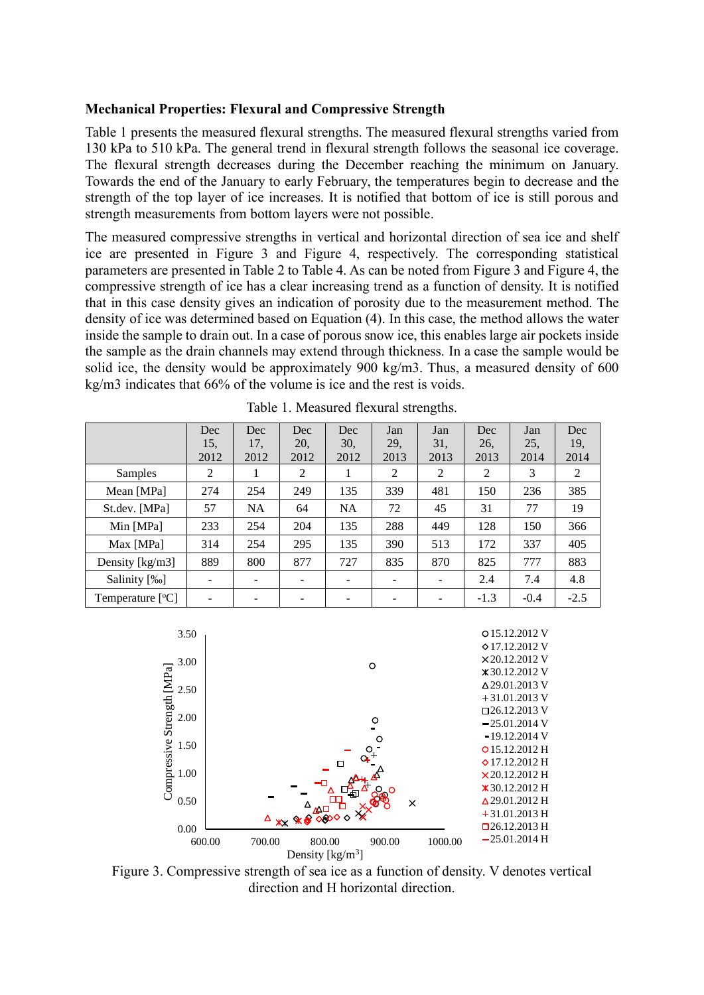#### **Mechanical Properties: Flexural and Compressive Strength**

[Table 1](#page-6-0) presents the measured flexural strengths. The measured flexural strengths varied from 130 kPa to 510 kPa. The general trend in flexural strength follows the seasonal ice coverage. The flexural strength decreases during the December reaching the minimum on January. Towards the end of the January to early February, the temperatures begin to decrease and the strength of the top layer of ice increases. It is notified that bottom of ice is still porous and strength measurements from bottom layers were not possible.

The measured compressive strengths in vertical and horizontal direction of sea ice and shelf ice are presented in [Figure 3](#page-6-1) and [Figure 4,](#page-7-0) respectively. The corresponding statistical parameters are presented in [Table 2](#page-7-1) to [Table 4.](#page-8-1) As can be noted from [Figure 3](#page-6-1) and [Figure 4,](#page-7-0) the compressive strength of ice has a clear increasing trend as a function of density. It is notified that in this case density gives an indication of porosity due to the measurement method. The density of ice was determined based on Equation (4). In this case, the method allows the water inside the sample to drain out. In a case of porous snow ice, this enables large air pockets inside the sample as the drain channels may extend through thickness. In a case the sample would be solid ice, the density would be approximately 900 kg/m3. Thus, a measured density of 600 kg/m3 indicates that 66% of the volume is ice and the rest is voids.

<span id="page-6-0"></span>

|                                      | Dec<br>15.<br>2012 | Dec<br>17.<br>2012 | Dec<br>20.<br>2012 | Dec<br>30.<br>2012 | Jan<br>29.<br>2013 | Jan<br>31.<br>2013       | Dec<br>26.<br>2013 | Jan<br>25,<br>2014 | Dec<br>19,<br>2014 |
|--------------------------------------|--------------------|--------------------|--------------------|--------------------|--------------------|--------------------------|--------------------|--------------------|--------------------|
| Samples                              | 2                  |                    | 2                  | 1                  | 2                  | 2                        | $\overline{2}$     | 3                  | 2                  |
| Mean [MPa]                           | 274                | 254                | 249                | 135                | 339                | 481                      | 150                | 236                | 385                |
| St.dev. [MPa]                        | 57                 | <b>NA</b>          | 64                 | <b>NA</b>          | 72                 | 45                       | 31                 | 77                 | 19                 |
| Min [MPa]                            | 233                | 254                | 204                | 135                | 288                | 449                      | 128                | 150                | 366                |
| Max [MPa]                            | 314                | 254                | 295                | 135                | 390                | 513                      | 172                | 337                | 405                |
| Density $\lceil \text{kg/m3} \rceil$ | 889                | 800                | 877                | 727                | 835                | 870                      | 825                | 777                | 883                |
| Salinity [‰]                         |                    |                    |                    |                    |                    | $\overline{\phantom{0}}$ | 2.4                | 7.4                | 4.8                |
| Temperature $[°C]$                   |                    |                    |                    |                    |                    |                          | $-1.3$             | $-0.4$             | $-2.5$             |

Table 1. Measured flexural strengths.



<span id="page-6-1"></span>Figure 3. Compressive strength of sea ice as a function of density. V denotes vertical direction and H horizontal direction.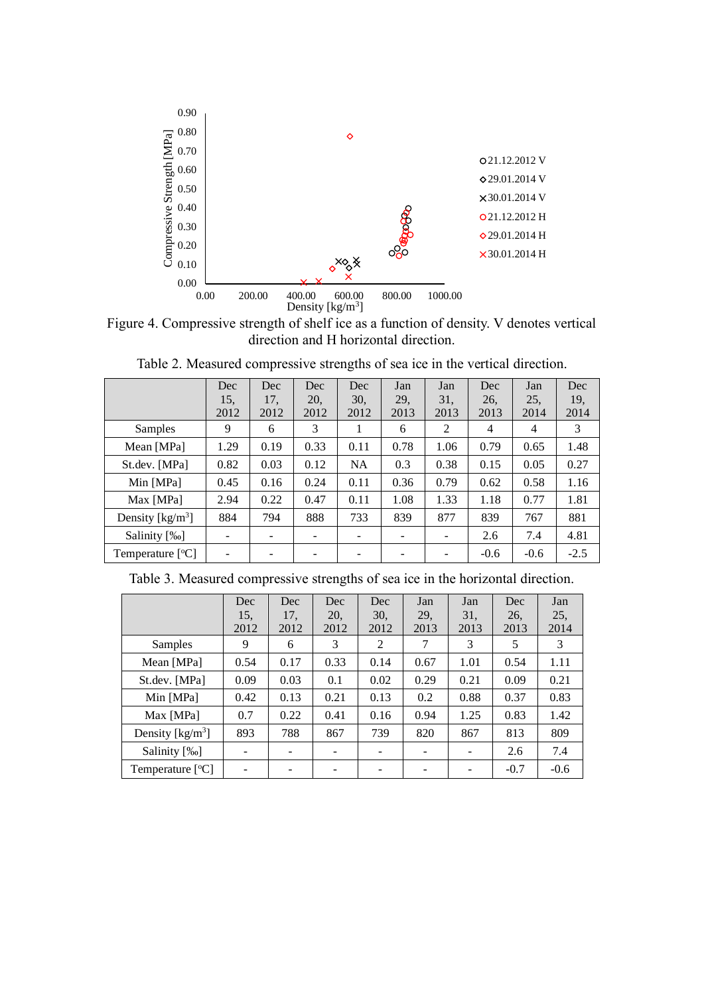

<span id="page-7-0"></span>Figure 4. Compressive strength of shelf ice as a function of density. V denotes vertical direction and H horizontal direction.

<span id="page-7-1"></span>

|                                       | Dec<br>15.               | Dec<br>17. | Dec<br>20, | Dec<br>30. | Jan<br>29, | Jan<br>31, | Dec<br>26. | Jan<br>25. | Dec<br>19, |
|---------------------------------------|--------------------------|------------|------------|------------|------------|------------|------------|------------|------------|
|                                       | 2012                     | 2012       | 2012       | 2012       | 2013       | 2013       | 2013       | 2014       | 2014       |
| <b>Samples</b>                        | 9                        | 6          | 3          | 1          | 6          | 2          | 4          | 4          | 3          |
| Mean [MPa]                            | 1.29                     | 0.19       | 0.33       | 0.11       | 0.78       | 1.06       | 0.79       | 0.65       | 1.48       |
| St.dev. [MPa]                         | 0.82                     | 0.03       | 0.12       | <b>NA</b>  | 0.3        | 0.38       | 0.15       | 0.05       | 0.27       |
| Min [MPa]                             | 0.45                     | 0.16       | 0.24       | 0.11       | 0.36       | 0.79       | 0.62       | 0.58       | 1.16       |
| Max [MPa]                             | 2.94                     | 0.22       | 0.47       | 0.11       | 1.08       | 1.33       | 1.18       | 0.77       | 1.81       |
| Density $\lceil \text{kg/m}^3 \rceil$ | 884                      | 794        | 888        | 733        | 839        | 877        | 839        | 767        | 881        |
| Salinity [‰]                          | $\qquad \qquad$          |            |            |            |            |            | 2.6        | 7.4        | 4.81       |
| Temperature $[°C]$                    | $\overline{\phantom{0}}$ |            |            |            |            |            | $-0.6$     | $-0.6$     | $-2.5$     |

Table 2. Measured compressive strengths of sea ice in the vertical direction.

Table 3. Measured compressive strengths of sea ice in the horizontal direction.

|                    | Dec<br>15.<br>2012 | Dec<br>17.<br>2012 | Dec<br>20.<br>2012       | Dec<br>30.<br>2012 | Jan<br>29.<br>2013 | Jan<br>31.<br>2013       | Dec<br>26.<br>2013 | Jan<br>25,<br>2014 |
|--------------------|--------------------|--------------------|--------------------------|--------------------|--------------------|--------------------------|--------------------|--------------------|
| Samples            | 9                  | 6                  | 3                        | 2                  | 7                  | 3                        | 5                  | 3                  |
| Mean [MPa]         | 0.54               | 0.17               | 0.33                     | 0.14               | 0.67               | 1.01                     | 0.54               | 1.11               |
| St.dev. [MPa]      | 0.09               | 0.03               | 0.1                      | 0.02               | 0.29               | 0.21                     | 0.09               | 0.21               |
| Min [MPa]          | 0.42               | 0.13               | 0.21                     | 0.13               | 0.2                | 0.88                     | 0.37               | 0.83               |
| Max [MPa]          | 0.7                | 0.22               | 0.41                     | 0.16               | 0.94               | 1.25                     | 0.83               | 1.42               |
| Density $[kg/m^3]$ | 893                | 788                | 867                      | 739                | 820                | 867                      | 813                | 809                |
| Salinity [‰]       |                    |                    | $\overline{\phantom{0}}$ |                    | ۰                  | $\overline{\phantom{a}}$ | 2.6                | 7.4                |
| Temperature $[°C]$ |                    |                    |                          |                    |                    |                          | $-0.7$             | $-0.6$             |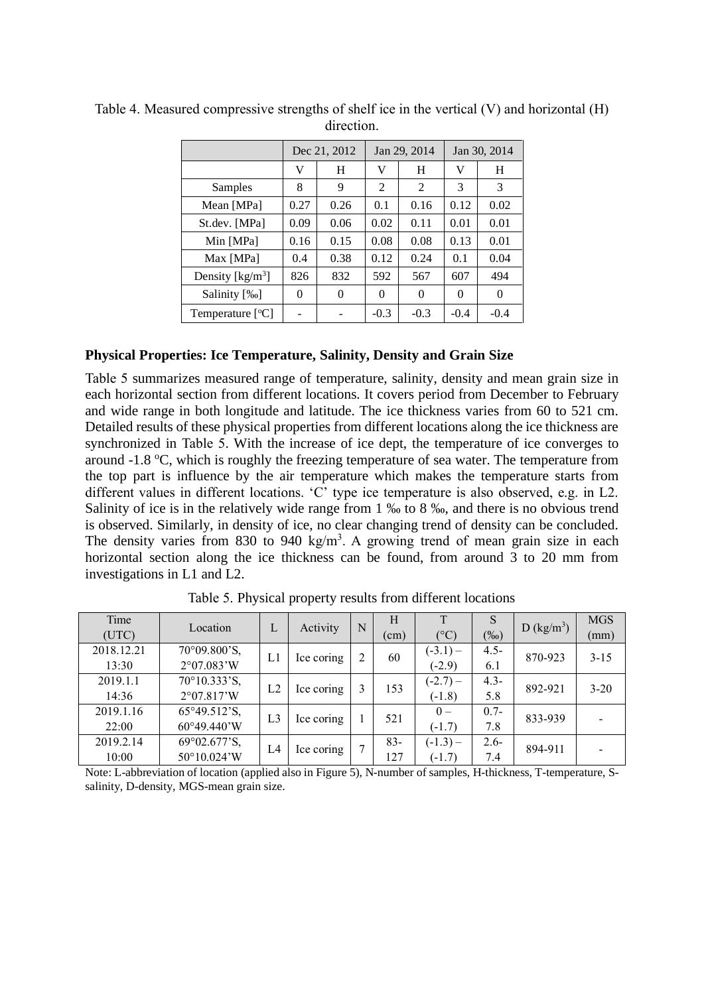|                     | Dec 21, 2012 |      |        | Jan 29, 2014 | Jan 30, 2014 |        |
|---------------------|--------------|------|--------|--------------|--------------|--------|
|                     | V            | H    | V      | H            | V            | H      |
| Samples             | 8            | 9    | 2      | 2            | 3            | 3      |
| Mean [MPa]          | 0.27         | 0.26 | 0.1    | 0.16         |              | 0.02   |
| St.dev. [MPa]       | 0.09         | 0.06 | 0.02   | 0.11         | 0.01         | 0.01   |
| Min [MPa]           | 0.16         | 0.15 | 0.08   | 0.08         | 0.13         | 0.01   |
| Max [MPa]           | 0.4          | 0.38 | 0.12   | 0.24         | 0.1          | 0.04   |
| Density [ $kg/m3$ ] | 826          | 832  | 592    | 567          | 607          | 494    |
| Salinity [‰]        | $\Omega$     | 0    | 0      | $\Omega$     | 0            | 0      |
| Temperature $[°C]$  |              |      | $-0.3$ | $-0.3$       | $-0.4$       | $-0.4$ |

<span id="page-8-1"></span>Table 4. Measured compressive strengths of shelf ice in the vertical (V) and horizontal (H) direction.

#### **Physical Properties: Ice Temperature, Salinity, Density and Grain Size**

[Table 5](#page-8-0) summarizes measured range of temperature, salinity, density and mean grain size in each horizontal section from different locations. It covers period from December to February and wide range in both longitude and latitude. The ice thickness varies from 60 to 521 cm. Detailed results of these physical properties from different locations along the ice thickness are synchronized in [Table 5.](#page-8-0) With the increase of ice dept, the temperature of ice converges to around  $-1.8 \,^{\circ}\text{C}$ , which is roughly the freezing temperature of sea water. The temperature from the top part is influence by the air temperature which makes the temperature starts from different values in different locations. 'C' type ice temperature is also observed, e.g. in L2. Salinity of ice is in the relatively wide range from 1 ‰ to 8 ‰, and there is no obvious trend is observed. Similarly, in density of ice, no clear changing trend of density can be concluded. The density varies from 830 to 940 kg/m<sup>3</sup>. A growing trend of mean grain size in each horizontal section along the ice thickness can be found, from around 3 to 20 mm from investigations in L1 and L2.

<span id="page-8-0"></span>

| Time<br>(UTC)       | Location                                     | L              | Activity   | N | H<br>$\text{cm}$ ) | T<br>$(^{\circ}C)$     | S<br>$(\%0)$   | D (kg/m <sup>3</sup> ) | <b>MGS</b><br>(mm) |
|---------------------|----------------------------------------------|----------------|------------|---|--------------------|------------------------|----------------|------------------------|--------------------|
| 2018.12.21<br>13:30 | 70°09.800'S,<br>2°07.083'W                   | L1             | Ice coring |   | 60                 | $(-3.1)$ –<br>$(-2.9)$ | $4.5 -$<br>6.1 | 870-923                | $3 - 15$           |
| 2019.1.1<br>14:36   | 70°10.333'S,<br>2°07.817'W                   | L2             | Ice coring |   | 153                | $(-2.7)$ –<br>$(-1.8)$ | $4.3 -$<br>5.8 | 892-921                | $3 - 20$           |
| 2019.1.16<br>22:00  | 65°49.512'S,<br>$60^{\circ}49.440^{\prime}W$ | L <sub>3</sub> | Ice coring |   | 521                | $0 -$<br>$(-1.7)$      | $0.7 -$<br>7.8 | 833-939                |                    |
| 2019.2.14<br>10:00  | 69°02.677'S,<br>50°10.024'W                  | L4             | Ice coring |   | $83 -$<br>127      | $(-1.3) -$<br>$(-1.7)$ | $2.6-$<br>7.4  | 894-911                |                    |

Table 5. Physical property results from different locations

Note: L-abbreviation of location (applied also in Figure 5), N-number of samples, H-thickness, T-temperature, Ssalinity, D-density, MGS-mean grain size.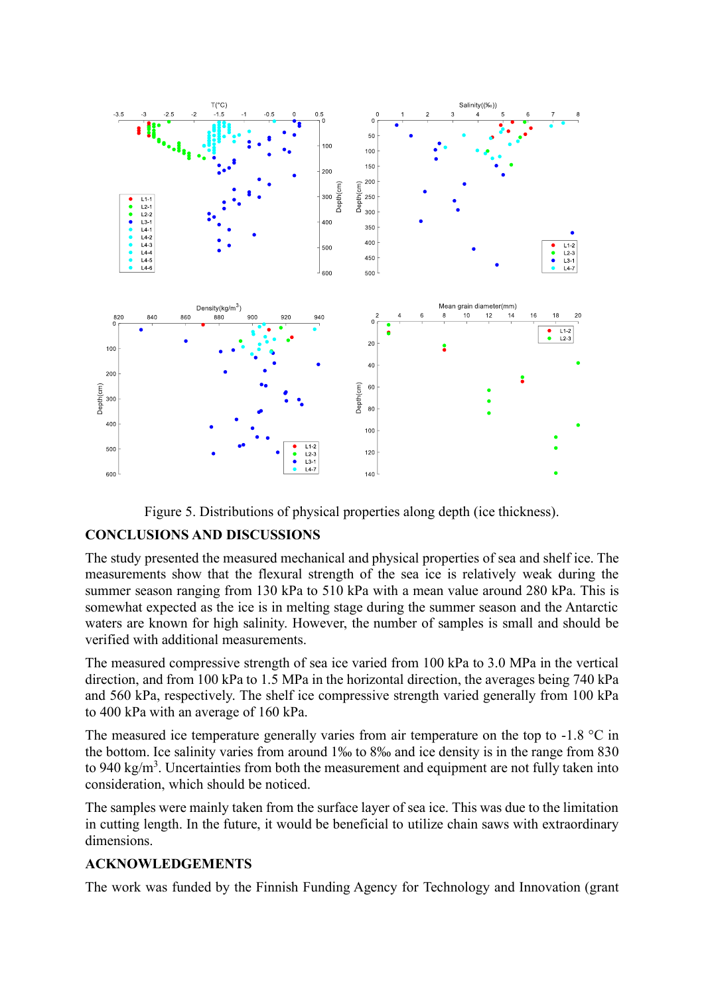



# **CONCLUSIONS AND DISCUSSIONS**

The study presented the measured mechanical and physical properties of sea and shelf ice. The measurements show that the flexural strength of the sea ice is relatively weak during the summer season ranging from 130 kPa to 510 kPa with a mean value around 280 kPa. This is somewhat expected as the ice is in melting stage during the summer season and the Antarctic waters are known for high salinity. However, the number of samples is small and should be verified with additional measurements.

The measured compressive strength of sea ice varied from 100 kPa to 3.0 MPa in the vertical direction, and from 100 kPa to 1.5 MPa in the horizontal direction, the averages being 740 kPa and 560 kPa, respectively. The shelf ice compressive strength varied generally from 100 kPa to 400 kPa with an average of 160 kPa.

The measured ice temperature generally varies from air temperature on the top to  $-1.8 \degree C$  in the bottom. Ice salinity varies from around 1‰ to 8‰ and ice density is in the range from 830 to 940 kg/m<sup>3</sup>. Uncertainties from both the measurement and equipment are not fully taken into consideration, which should be noticed.

The samples were mainly taken from the surface layer of sea ice. This was due to the limitation in cutting length. In the future, it would be beneficial to utilize chain saws with extraordinary dimensions.

# **ACKNOWLEDGEMENTS**

The work was funded by the Finnish Funding Agency for Technology and Innovation (grant